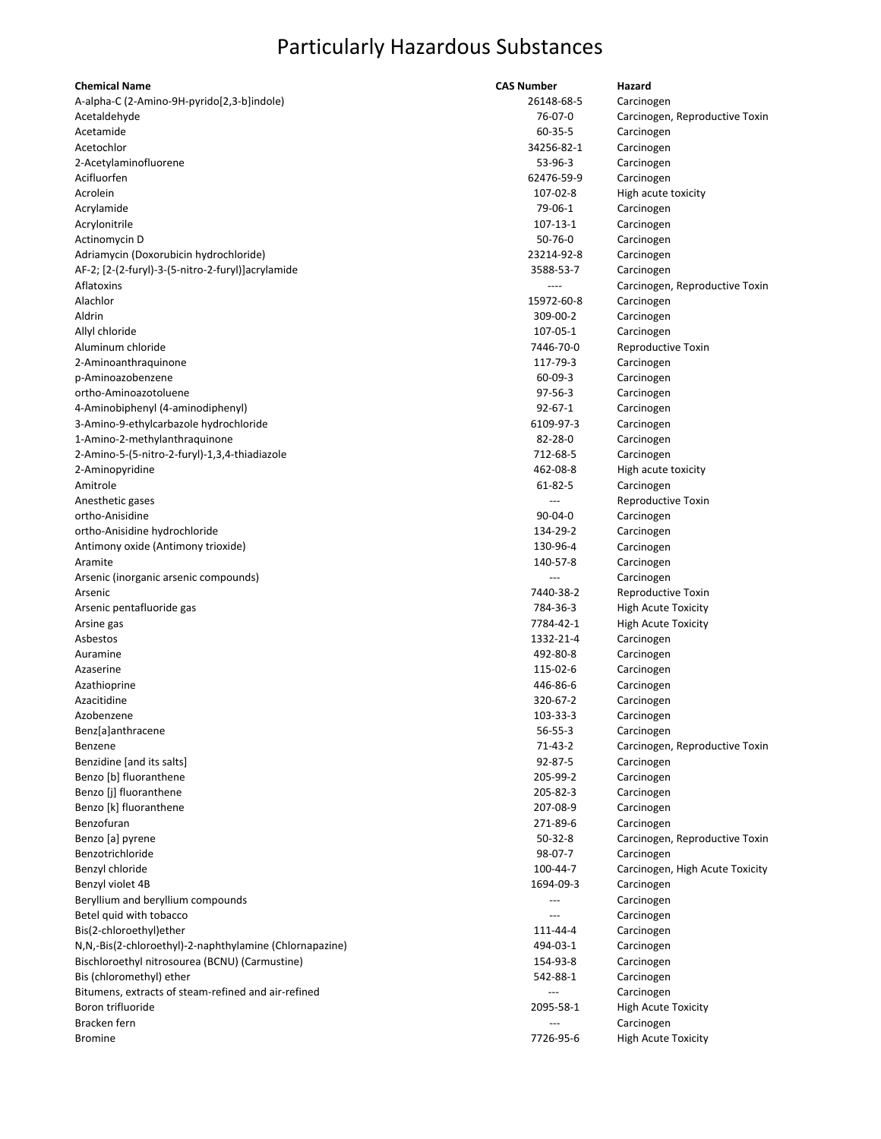| <b>Chemical Name</b>                                    | <b>CAS Number</b> | Hazard                          |
|---------------------------------------------------------|-------------------|---------------------------------|
| A-alpha-C (2-Amino-9H-pyrido[2,3-b]indole)              | 26148-68-5        | Carcinogen                      |
| Acetaldehyde                                            | 76-07-0           | Carcinogen, Reproductive Toxin  |
| Acetamide                                               | 60-35-5           | Carcinogen                      |
| Acetochlor                                              | 34256-82-1        | Carcinogen                      |
| 2-Acetylaminofluorene                                   | 53-96-3           | Carcinogen                      |
| Acifluorfen                                             | 62476-59-9        | Carcinogen                      |
| Acrolein                                                | 107-02-8          | High acute toxicity             |
| Acrylamide                                              | 79-06-1           | Carcinogen                      |
| Acrylonitrile                                           | 107-13-1          | Carcinogen                      |
| Actinomycin D                                           | $50 - 76 - 0$     | Carcinogen                      |
| Adriamycin (Doxorubicin hydrochloride)                  | 23214-92-8        | Carcinogen                      |
| AF-2; [2-(2-furyl)-3-(5-nitro-2-furyl)]acrylamide       | 3588-53-7         | Carcinogen                      |
| Aflatoxins                                              |                   | Carcinogen, Reproductive Toxin  |
| Alachlor                                                | 15972-60-8        | Carcinogen                      |
| Aldrin                                                  | 309-00-2          | Carcinogen                      |
| Allyl chloride                                          | 107-05-1          | Carcinogen                      |
| Aluminum chloride                                       | 7446-70-0         | Reproductive Toxin              |
| 2-Aminoanthraquinone                                    | 117-79-3          | Carcinogen                      |
| p-Aminoazobenzene                                       | $60 - 09 - 3$     | Carcinogen                      |
| ortho-Aminoazotoluene                                   | 97-56-3           | Carcinogen                      |
| 4-Aminobiphenyl (4-aminodiphenyl)                       | $92 - 67 - 1$     | Carcinogen                      |
| 3-Amino-9-ethylcarbazole hydrochloride                  | 6109-97-3         | Carcinogen                      |
| 1-Amino-2-methylanthraquinone                           | 82-28-0           | Carcinogen                      |
| 2-Amino-5-(5-nitro-2-furyl)-1,3,4-thiadiazole           | 712-68-5          | Carcinogen                      |
| 2-Aminopyridine                                         | 462-08-8          | High acute toxicity             |
| Amitrole                                                | 61-82-5           | Carcinogen                      |
| Anesthetic gases                                        |                   | Reproductive Toxin              |
| ortho-Anisidine                                         | $90 - 04 - 0$     | Carcinogen                      |
| ortho-Anisidine hydrochloride                           | 134-29-2          | Carcinogen                      |
| Antimony oxide (Antimony trioxide)                      | 130-96-4          | Carcinogen                      |
| Aramite                                                 | 140-57-8          | Carcinogen                      |
| Arsenic (inorganic arsenic compounds)                   |                   | Carcinogen                      |
| Arsenic                                                 | 7440-38-2         | Reproductive Toxin              |
| Arsenic pentafluoride gas                               | 784-36-3          | <b>High Acute Toxicity</b>      |
| Arsine gas                                              | 7784-42-1         | <b>High Acute Toxicity</b>      |
| Asbestos                                                | 1332-21-4         | Carcinogen                      |
| Auramine                                                | 492-80-8          | Carcinogen                      |
| Azaserine                                               | 115-02-6          | Carcinogen                      |
| Azathioprine                                            | 446-86-6          | Carcinogen                      |
| Azacitidine                                             | 320-67-2          | Carcinogen                      |
| Azobenzene                                              | 103-33-3          | Carcinogen                      |
| Benz[a]anthracene                                       | $56 - 55 - 3$     | Carcinogen                      |
| Benzene                                                 | 71-43-2           | Carcinogen, Reproductive Toxin  |
| Benzidine [and its salts]                               | 92-87-5           | Carcinogen                      |
| Benzo [b] fluoranthene                                  | 205-99-2          | Carcinogen                      |
| Benzo [j] fluoranthene                                  | 205-82-3          | Carcinogen                      |
| Benzo [k] fluoranthene                                  | 207-08-9          | Carcinogen                      |
| Benzofuran                                              | 271-89-6          | Carcinogen                      |
| Benzo [a] pyrene                                        | $50-32-8$         | Carcinogen, Reproductive Toxin  |
| Benzotrichloride                                        | 98-07-7           | Carcinogen                      |
| Benzyl chloride                                         | 100-44-7          | Carcinogen, High Acute Toxicity |
| Benzyl violet 4B                                        | 1694-09-3         | Carcinogen                      |
| Beryllium and beryllium compounds                       | ---               | Carcinogen                      |
| Betel quid with tobacco                                 |                   | Carcinogen                      |
| Bis(2-chloroethyl) ether                                | 111-44-4          | Carcinogen                      |
| N,N,-Bis(2-chloroethyl)-2-naphthylamine (Chlornapazine) | 494-03-1          | Carcinogen                      |
| Bischloroethyl nitrosourea (BCNU) (Carmustine)          | 154-93-8          | Carcinogen                      |
| Bis (chloromethyl) ether                                | 542-88-1          | Carcinogen                      |
| Bitumens, extracts of steam-refined and air-refined     | $---$             | Carcinogen                      |
| Boron trifluoride                                       | 2095-58-1         | <b>High Acute Toxicity</b>      |
| Bracken fern                                            | $---$             | Carcinogen                      |
| <b>Bromine</b>                                          | 7726-95-6         | <b>High Acute Toxicity</b>      |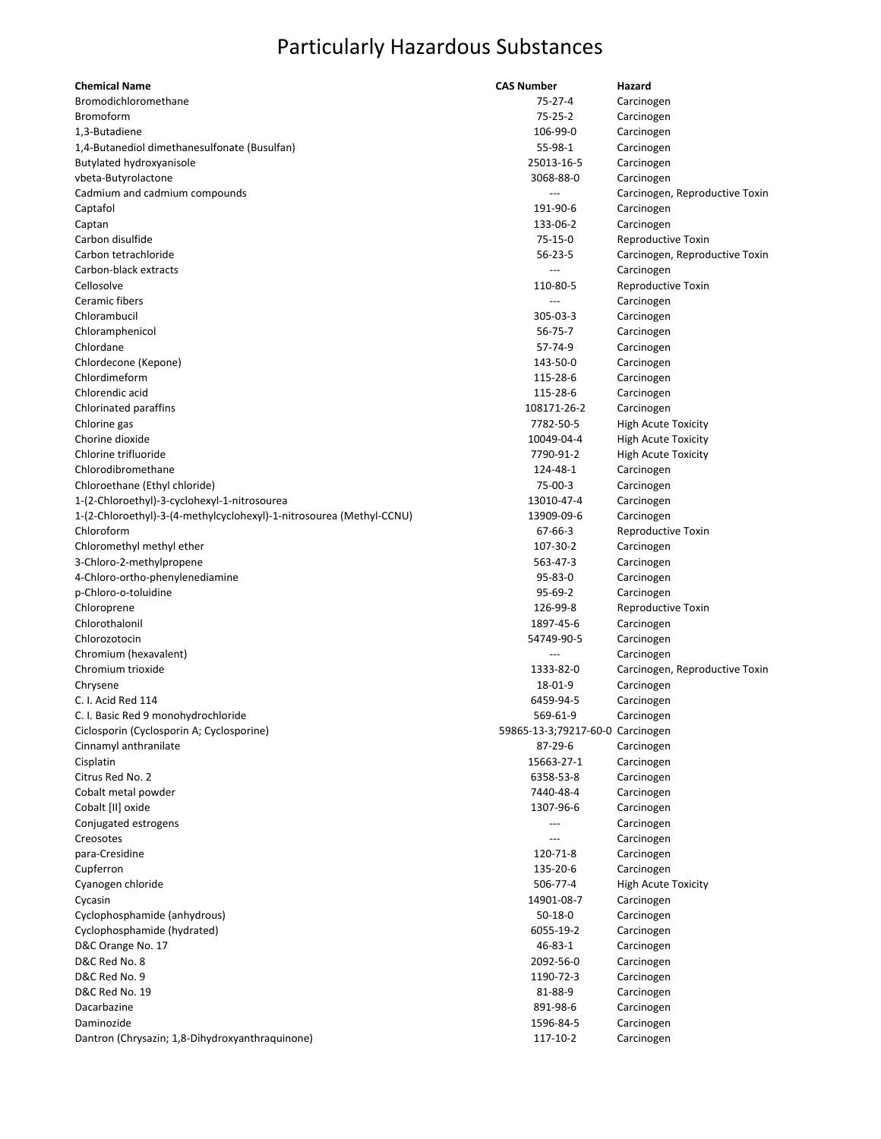| <b>Chemical Name</b>                                                 | <b>CAS Number</b>                | Hazard                         |
|----------------------------------------------------------------------|----------------------------------|--------------------------------|
| Bromodichloromethane                                                 | $75 - 27 - 4$                    | Carcinogen                     |
| <b>Bromoform</b>                                                     | $75 - 25 - 2$                    | Carcinogen                     |
| 1,3-Butadiene                                                        | 106-99-0                         | Carcinogen                     |
| 1,4-Butanediol dimethanesulfonate (Busulfan)                         | 55-98-1                          | Carcinogen                     |
| Butylated hydroxyanisole                                             | 25013-16-5                       | Carcinogen                     |
| vbeta-Butyrolactone                                                  | 3068-88-0                        | Carcinogen                     |
| Cadmium and cadmium compounds                                        |                                  | Carcinogen, Reproductive Toxin |
| Captafol                                                             | 191-90-6                         | Carcinogen                     |
| Captan                                                               | 133-06-2                         | Carcinogen                     |
| Carbon disulfide                                                     | $75-15-0$                        | Reproductive Toxin             |
| Carbon tetrachloride                                                 | $56 - 23 - 5$                    | Carcinogen, Reproductive Toxin |
| Carbon-black extracts                                                |                                  | Carcinogen                     |
| Cellosolve                                                           | 110-80-5                         | Reproductive Toxin             |
| Ceramic fibers                                                       | $\overline{a}$                   | Carcinogen                     |
| Chlorambucil                                                         | 305-03-3                         | Carcinogen                     |
| Chloramphenicol                                                      | 56-75-7                          | Carcinogen                     |
| Chlordane                                                            | 57-74-9                          | Carcinogen                     |
| Chlordecone (Kepone)                                                 | 143-50-0                         | Carcinogen                     |
| Chlordimeform                                                        | 115-28-6                         | Carcinogen                     |
| Chlorendic acid                                                      | 115-28-6                         | Carcinogen                     |
| Chlorinated paraffins                                                | 108171-26-2                      | Carcinogen                     |
| Chlorine gas                                                         | 7782-50-5                        | <b>High Acute Toxicity</b>     |
| Chorine dioxide                                                      | 10049-04-4                       | <b>High Acute Toxicity</b>     |
| Chlorine trifluoride                                                 | 7790-91-2                        | <b>High Acute Toxicity</b>     |
| Chlorodibromethane                                                   | 124-48-1                         | Carcinogen                     |
| Chloroethane (Ethyl chloride)                                        | 75-00-3                          | Carcinogen                     |
| 1-(2-Chloroethyl)-3-cyclohexyl-1-nitrosourea                         | 13010-47-4                       | Carcinogen                     |
| 1-(2-Chloroethyl)-3-(4-methylcyclohexyl)-1-nitrosourea (Methyl-CCNU) | 13909-09-6                       | Carcinogen                     |
| Chloroform                                                           | 67-66-3                          | Reproductive Toxin             |
| Chloromethyl methyl ether                                            | 107-30-2                         | Carcinogen                     |
| 3-Chloro-2-methylpropene                                             | 563-47-3                         | Carcinogen                     |
| 4-Chloro-ortho-phenylenediamine                                      | 95-83-0                          | Carcinogen                     |
| p-Chloro-o-toluidine                                                 | 95-69-2                          | Carcinogen                     |
| Chloroprene                                                          | 126-99-8                         | Reproductive Toxin             |
| Chlorothalonil                                                       | 1897-45-6                        | Carcinogen                     |
| Chlorozotocin                                                        | 54749-90-5                       | Carcinogen                     |
| Chromium (hexavalent)                                                | $---$                            | Carcinogen                     |
| Chromium trioxide                                                    | 1333-82-0                        | Carcinogen, Reproductive Toxin |
| Chrysene                                                             | 18-01-9                          | Carcinogen                     |
| C. I. Acid Red 114                                                   | 6459-94-5                        | Carcinogen                     |
| C. I. Basic Red 9 monohydrochloride                                  | 569-61-9                         | Carcinogen                     |
| Ciclosporin (Cyclosporin A; Cyclosporine)                            | 59865-13-3;79217-60-0 Carcinogen |                                |
| Cinnamyl anthranilate                                                | 87-29-6                          | Carcinogen                     |
| Cisplatin                                                            | 15663-27-1                       | Carcinogen                     |
| Citrus Red No. 2                                                     | 6358-53-8                        | Carcinogen                     |
| Cobalt metal powder                                                  | 7440-48-4                        | Carcinogen                     |
| Cobalt [II] oxide                                                    | 1307-96-6                        | Carcinogen                     |
| Conjugated estrogens                                                 | ---                              | Carcinogen                     |
| Creosotes                                                            |                                  | Carcinogen                     |
| para-Cresidine                                                       | 120-71-8                         | Carcinogen                     |
| Cupferron                                                            | 135-20-6                         | Carcinogen                     |
| Cyanogen chloride                                                    | 506-77-4                         | <b>High Acute Toxicity</b>     |
| Cycasin                                                              | 14901-08-7                       | Carcinogen                     |
| Cyclophosphamide (anhydrous)                                         | $50-18-0$                        | Carcinogen                     |
| Cyclophosphamide (hydrated)                                          | 6055-19-2                        | Carcinogen                     |
| D&C Orange No. 17                                                    | 46-83-1                          | Carcinogen                     |
| D&C Red No. 8                                                        | 2092-56-0                        | Carcinogen                     |
| D&C Red No. 9                                                        | 1190-72-3                        | Carcinogen                     |
| D&C Red No. 19                                                       | 81-88-9                          | Carcinogen                     |
| Dacarbazine                                                          | 891-98-6                         | Carcinogen                     |
| Daminozide                                                           | 1596-84-5                        | Carcinogen                     |
| Dantron (Chrysazin; 1,8-Dihydroxyanthraquinone)                      | 117-10-2                         | Carcinogen                     |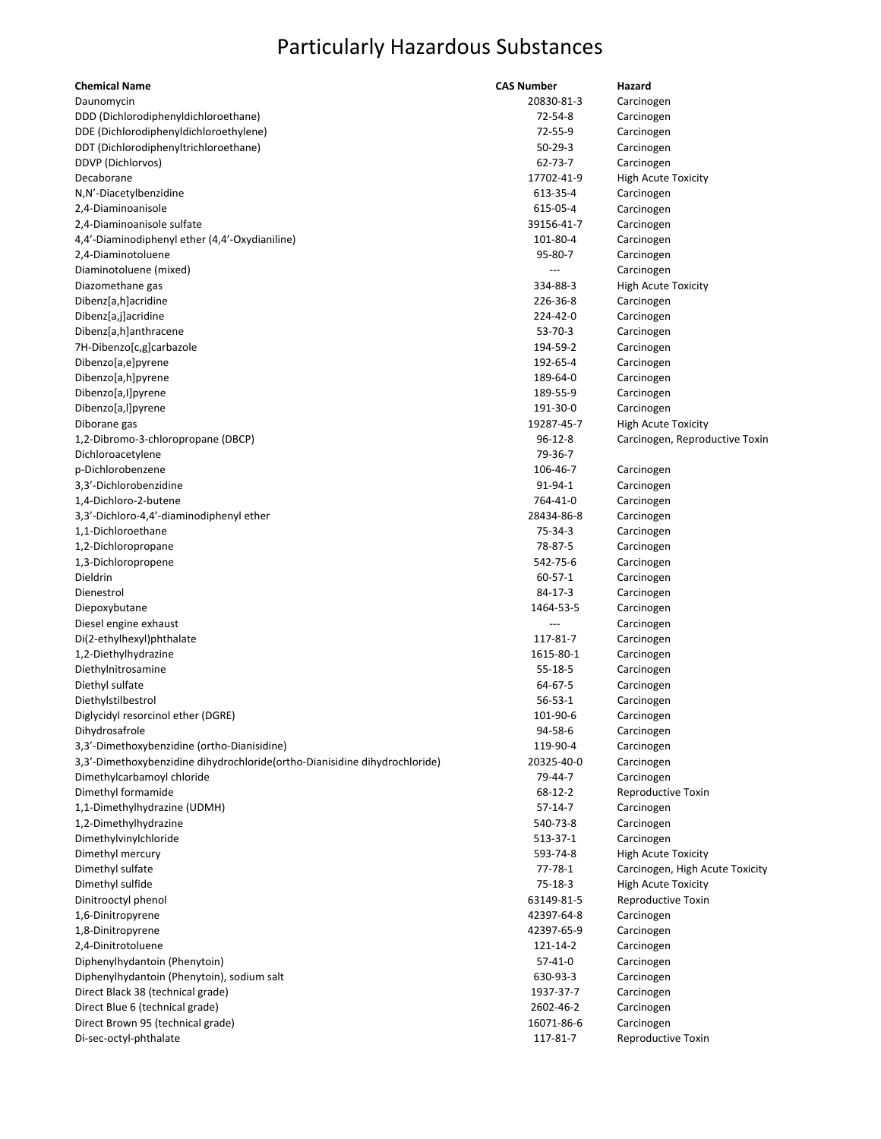| <b>Chemical Name</b>                                                       | <b>CAS Number</b> | Hazard                          |
|----------------------------------------------------------------------------|-------------------|---------------------------------|
| Daunomycin                                                                 | 20830-81-3        | Carcinogen                      |
| DDD (Dichlorodiphenyldichloroethane)                                       | 72-54-8           | Carcinogen                      |
| DDE (Dichlorodiphenyldichloroethylene)                                     | 72-55-9           | Carcinogen                      |
| DDT (Dichlorodiphenyltrichloroethane)                                      | $50 - 29 - 3$     | Carcinogen                      |
| DDVP (Dichlorvos)                                                          | 62-73-7           | Carcinogen                      |
| Decaborane                                                                 | 17702-41-9        | <b>High Acute Toxicity</b>      |
| N,N'-Diacetylbenzidine                                                     | 613-35-4          | Carcinogen                      |
| 2,4-Diaminoanisole                                                         | 615-05-4          | Carcinogen                      |
| 2,4-Diaminoanisole sulfate                                                 | 39156-41-7        | Carcinogen                      |
| 4,4'-Diaminodiphenyl ether (4,4'-Oxydianiline)                             | 101-80-4          | Carcinogen                      |
| 2,4-Diaminotoluene                                                         | 95-80-7           | Carcinogen                      |
| Diaminotoluene (mixed)                                                     |                   | Carcinogen                      |
| Diazomethane gas                                                           | 334-88-3          | <b>High Acute Toxicity</b>      |
| Dibenz[a,h]acridine                                                        | 226-36-8          | Carcinogen                      |
| Dibenz[a,j]acridine                                                        | 224-42-0          | Carcinogen                      |
| Dibenz[a,h]anthracene                                                      | $53 - 70 - 3$     | Carcinogen                      |
| 7H-Dibenzo[c,g]carbazole                                                   | 194-59-2          | Carcinogen                      |
| Dibenzo[a,e]pyrene                                                         | 192-65-4          | Carcinogen                      |
| Dibenzo[a,h]pyrene                                                         | 189-64-0          | Carcinogen                      |
| Dibenzo[a,I]pyrene                                                         | 189-55-9          | Carcinogen                      |
| Dibenzo[a,l]pyrene                                                         | 191-30-0          | Carcinogen                      |
| Diborane gas                                                               | 19287-45-7        | <b>High Acute Toxicity</b>      |
| 1,2-Dibromo-3-chloropropane (DBCP)                                         | $96-12-8$         | Carcinogen, Reproductive Toxin  |
| Dichloroacetylene                                                          | 79-36-7           |                                 |
| p-Dichlorobenzene                                                          | 106-46-7          | Carcinogen                      |
| 3,3'-Dichlorobenzidine                                                     | 91-94-1           | Carcinogen                      |
| 1,4-Dichloro-2-butene                                                      | 764-41-0          | Carcinogen                      |
| 3,3'-Dichloro-4,4'-diaminodiphenyl ether                                   | 28434-86-8        | Carcinogen                      |
| 1,1-Dichloroethane                                                         | 75-34-3           | Carcinogen                      |
| 1,2-Dichloropropane                                                        | 78-87-5           |                                 |
| 1,3-Dichloropropene                                                        | 542-75-6          | Carcinogen                      |
| Dieldrin                                                                   | $60 - 57 - 1$     | Carcinogen                      |
| Dienestrol                                                                 | 84-17-3           | Carcinogen                      |
|                                                                            |                   | Carcinogen                      |
| Diepoxybutane                                                              | 1464-53-5<br>---  | Carcinogen                      |
| Diesel engine exhaust                                                      |                   | Carcinogen                      |
| Di(2-ethylhexyl)phthalate                                                  | 117-81-7          | Carcinogen                      |
| 1,2-Diethylhydrazine                                                       | 1615-80-1         | Carcinogen                      |
| Diethylnitrosamine                                                         | $55 - 18 - 5$     | Carcinogen                      |
| Diethyl sulfate                                                            | 64-67-5           | Carcinogen                      |
| Diethylstilbestrol                                                         | $56 - 53 - 1$     | Carcinogen                      |
| Diglycidyl resorcinol ether (DGRE)                                         | 101-90-6          | Carcinogen                      |
| Dihydrosafrole                                                             | 94-58-6           | Carcinogen                      |
| 3,3'-Dimethoxybenzidine (ortho-Dianisidine)                                | 119-90-4          | Carcinogen                      |
| 3,3'-Dimethoxybenzidine dihydrochloride(ortho-Dianisidine dihydrochloride) | 20325-40-0        | Carcinogen                      |
| Dimethylcarbamoyl chloride                                                 | 79-44-7           | Carcinogen                      |
| Dimethyl formamide                                                         | 68-12-2           | Reproductive Toxin              |
| 1,1-Dimethylhydrazine (UDMH)                                               | $57 - 14 - 7$     | Carcinogen                      |
| 1,2-Dimethylhydrazine                                                      | 540-73-8          | Carcinogen                      |
| Dimethylvinylchloride                                                      | 513-37-1          | Carcinogen                      |
| Dimethyl mercury                                                           | 593-74-8          | <b>High Acute Toxicity</b>      |
| Dimethyl sulfate                                                           | 77-78-1           | Carcinogen, High Acute Toxicity |
| Dimethyl sulfide                                                           | $75-18-3$         | <b>High Acute Toxicity</b>      |
| Dinitrooctyl phenol                                                        | 63149-81-5        | Reproductive Toxin              |
| 1,6-Dinitropyrene                                                          | 42397-64-8        | Carcinogen                      |
| 1,8-Dinitropyrene                                                          | 42397-65-9        | Carcinogen                      |
| 2,4-Dinitrotoluene                                                         | 121-14-2          | Carcinogen                      |
| Diphenylhydantoin (Phenytoin)                                              | $57 - 41 - 0$     | Carcinogen                      |
| Diphenylhydantoin (Phenytoin), sodium salt                                 | 630-93-3          | Carcinogen                      |
| Direct Black 38 (technical grade)                                          | 1937-37-7         | Carcinogen                      |
| Direct Blue 6 (technical grade)                                            | 2602-46-2         | Carcinogen                      |
| Direct Brown 95 (technical grade)                                          | 16071-86-6        | Carcinogen                      |
| Di-sec-octyl-phthalate                                                     | 117-81-7          | Reproductive Toxin              |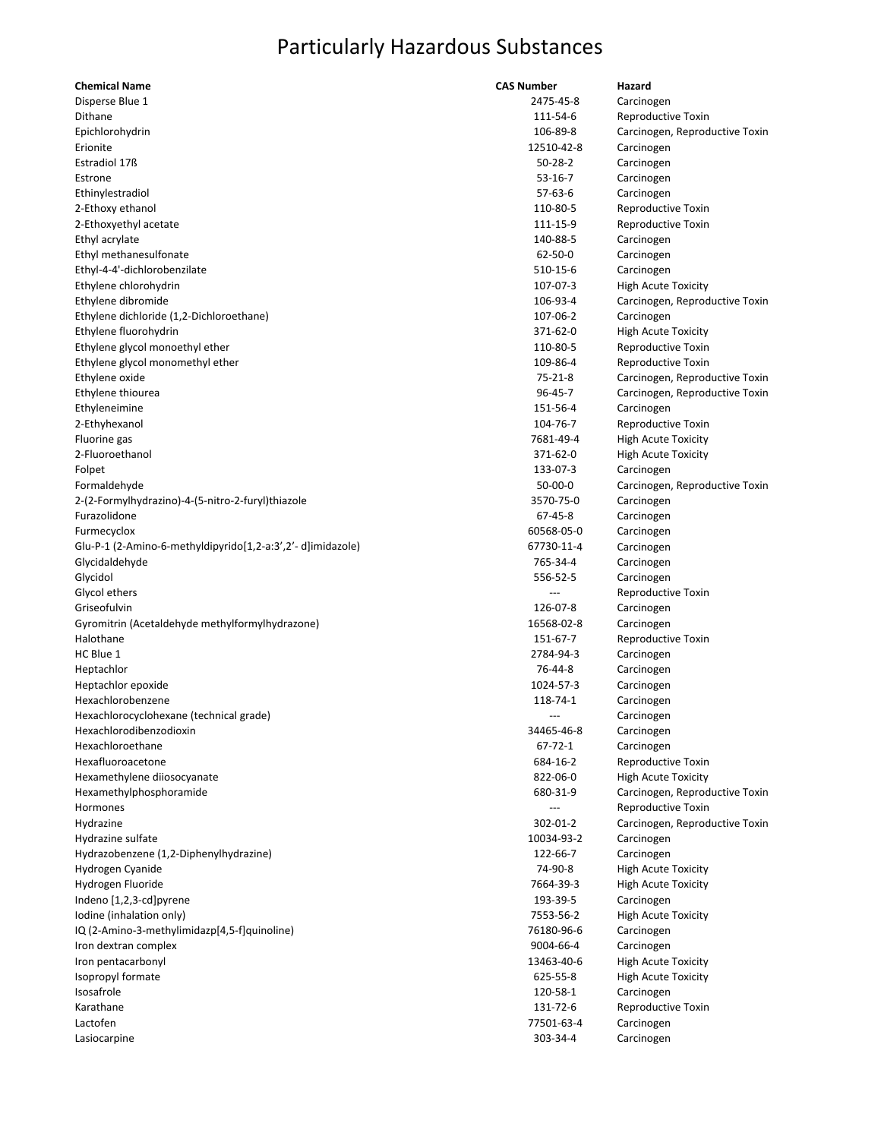| <b>Chemical Name</b>                                       | <b>CAS Number</b>     | Hazard                         |
|------------------------------------------------------------|-----------------------|--------------------------------|
| Disperse Blue 1                                            | 2475-45-8             | Carcinogen                     |
| Dithane                                                    | 111-54-6              | Reproductive Toxin             |
| Epichlorohydrin                                            | 106-89-8              | Carcinogen, Reproductive Toxin |
| Erionite                                                   | 12510-42-8            | Carcinogen                     |
| Estradiol 17ß                                              | $50 - 28 - 2$         | Carcinogen                     |
| Estrone                                                    | $53-16-7$             | Carcinogen                     |
| Ethinylestradiol                                           | $57-63-6$             | Carcinogen                     |
| 2-Ethoxy ethanol                                           | 110-80-5              | Reproductive Toxin             |
| 2-Ethoxyethyl acetate                                      | 111-15-9              | Reproductive Toxin             |
| Ethyl acrylate                                             | 140-88-5              | Carcinogen                     |
| Ethyl methanesulfonate                                     | $62 - 50 - 0$         | Carcinogen                     |
| Ethyl-4-4'-dichlorobenzilate                               | 510-15-6              | Carcinogen                     |
| Ethylene chlorohydrin                                      | 107-07-3              | <b>High Acute Toxicity</b>     |
| Ethylene dibromide                                         | 106-93-4              | Carcinogen, Reproductive Toxin |
| Ethylene dichloride (1,2-Dichloroethane)                   | 107-06-2              | Carcinogen                     |
| Ethylene fluorohydrin                                      | 371-62-0              | <b>High Acute Toxicity</b>     |
| Ethylene glycol monoethyl ether                            | 110-80-5              | Reproductive Toxin             |
| Ethylene glycol monomethyl ether                           | 109-86-4              | Reproductive Toxin             |
| Ethylene oxide                                             | $75 - 21 - 8$         | Carcinogen, Reproductive Toxin |
| Ethylene thiourea                                          | $96 - 45 - 7$         | Carcinogen, Reproductive Toxin |
| Ethyleneimine                                              | 151-56-4              | Carcinogen                     |
| 2-Ethyhexanol                                              | 104-76-7              | Reproductive Toxin             |
| Fluorine gas                                               | 7681-49-4             | <b>High Acute Toxicity</b>     |
| 2-Fluoroethanol                                            | 371-62-0              | <b>High Acute Toxicity</b>     |
| Folpet                                                     | 133-07-3              | Carcinogen                     |
| Formaldehyde                                               | $50-00-0$             | Carcinogen, Reproductive Toxin |
| 2-(2-Formylhydrazino)-4-(5-nitro-2-furyl)thiazole          | 3570-75-0             | Carcinogen                     |
| Furazolidone                                               | 67-45-8               | Carcinogen                     |
| Furmecyclox                                                | 60568-05-0            | Carcinogen                     |
| Glu-P-1 (2-Amino-6-methyldipyrido[1,2-a:3',2'-d]imidazole) | 67730-11-4            | Carcinogen                     |
| Glycidaldehyde                                             | 765-34-4              | Carcinogen                     |
| Glycidol                                                   | 556-52-5              | Carcinogen                     |
| Glycol ethers                                              |                       | Reproductive Toxin             |
| Griseofulvin                                               | 126-07-8              | Carcinogen                     |
| Gyromitrin (Acetaldehyde methylformylhydrazone)            | 16568-02-8            | Carcinogen                     |
| Halothane                                                  | 151-67-7              | Reproductive Toxin             |
| HC Blue 1                                                  | 2784-94-3             | Carcinogen                     |
| Heptachlor                                                 | 76-44-8               | Carcinogen                     |
| Heptachlor epoxide                                         | 1024-57-3             | Carcinogen                     |
| Hexachlorobenzene                                          | 118-74-1              | Carcinogen                     |
| Hexachlorocyclohexane (technical grade)                    | ---                   | Carcinogen                     |
| Hexachlorodibenzodioxin                                    | 34465-46-8            |                                |
| Hexachloroethane                                           | $67 - 72 - 1$         | Carcinogen<br>Carcinogen       |
| Hexafluoroacetone                                          | 684-16-2              | Reproductive Toxin             |
|                                                            | 822-06-0              |                                |
| Hexamethylene diiosocyanate                                |                       | <b>High Acute Toxicity</b>     |
| Hexamethylphosphoramide                                    | 680-31-9              | Carcinogen, Reproductive Toxin |
| Hormones                                                   | 302-01-2              | Reproductive Toxin             |
| Hydrazine<br>Hydrazine sulfate                             |                       | Carcinogen, Reproductive Toxin |
|                                                            | 10034-93-2            | Carcinogen                     |
| Hydrazobenzene (1,2-Diphenylhydrazine)                     | 122-66-7              | Carcinogen                     |
| Hydrogen Cyanide                                           | 74-90-8               | <b>High Acute Toxicity</b>     |
| Hydrogen Fluoride                                          | 7664-39-3<br>193-39-5 | <b>High Acute Toxicity</b>     |
| Indeno [1,2,3-cd]pyrene                                    |                       | Carcinogen                     |
| Iodine (inhalation only)                                   | 7553-56-2             | <b>High Acute Toxicity</b>     |
| IQ (2-Amino-3-methylimidazp[4,5-f]quinoline)               | 76180-96-6            | Carcinogen                     |
| Iron dextran complex                                       | 9004-66-4             | Carcinogen                     |
| Iron pentacarbonyl                                         | 13463-40-6            | <b>High Acute Toxicity</b>     |
| Isopropyl formate                                          | 625-55-8              | <b>High Acute Toxicity</b>     |
| Isosafrole                                                 | 120-58-1              | Carcinogen                     |
| Karathane                                                  | 131-72-6              | Reproductive Toxin             |
| Lactofen                                                   | 77501-63-4            | Carcinogen                     |
| Lasiocarpine                                               | 303-34-4              | Carcinogen                     |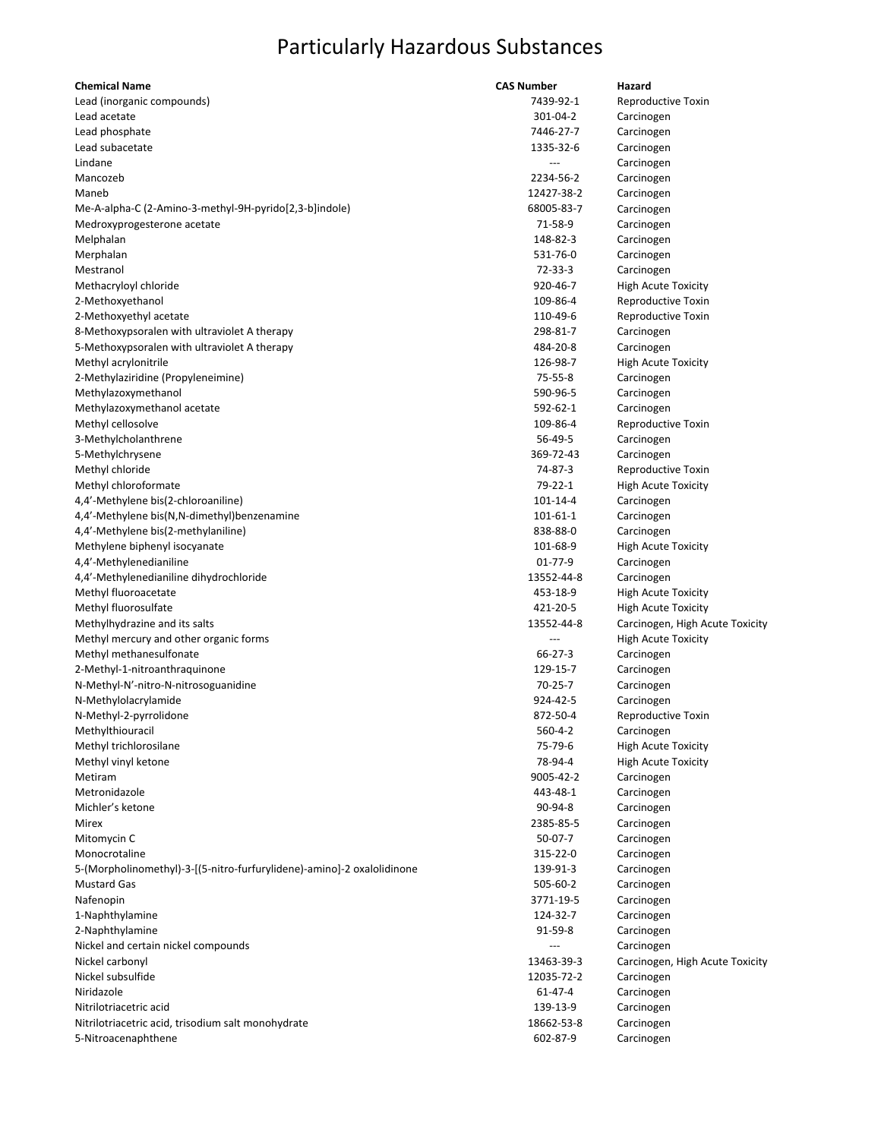| <b>Chemical Name</b>                                                   | <b>CAS Number</b> | Hazard                          |
|------------------------------------------------------------------------|-------------------|---------------------------------|
| Lead (inorganic compounds)                                             | 7439-92-1         | Reproductive Toxin              |
| Lead acetate                                                           | 301-04-2          | Carcinogen                      |
| Lead phosphate                                                         | 7446-27-7         | Carcinogen                      |
| Lead subacetate                                                        | 1335-32-6         | Carcinogen                      |
| Lindane                                                                |                   | Carcinogen                      |
| Mancozeb                                                               | 2234-56-2         | Carcinogen                      |
| Maneb                                                                  | 12427-38-2        | Carcinogen                      |
| Me-A-alpha-C (2-Amino-3-methyl-9H-pyrido[2,3-b]indole)                 | 68005-83-7        | Carcinogen                      |
| Medroxyprogesterone acetate                                            | 71-58-9           | Carcinogen                      |
| Melphalan                                                              | 148-82-3          | Carcinogen                      |
| Merphalan                                                              | 531-76-0          | Carcinogen                      |
| Mestranol                                                              | 72-33-3           | Carcinogen                      |
| Methacryloyl chloride                                                  | 920-46-7          | <b>High Acute Toxicity</b>      |
| 2-Methoxyethanol                                                       | 109-86-4          | Reproductive Toxin              |
| 2-Methoxyethyl acetate                                                 | 110-49-6          | Reproductive Toxin              |
| 8-Methoxypsoralen with ultraviolet A therapy                           | 298-81-7          | Carcinogen                      |
| 5-Methoxypsoralen with ultraviolet A therapy                           | 484-20-8          | Carcinogen                      |
| Methyl acrylonitrile                                                   | 126-98-7          | <b>High Acute Toxicity</b>      |
| 2-Methylaziridine (Propyleneimine)                                     | 75-55-8           | Carcinogen                      |
| Methylazoxymethanol                                                    | 590-96-5          | Carcinogen                      |
| Methylazoxymethanol acetate                                            | 592-62-1          | Carcinogen                      |
| Methyl cellosolve                                                      | 109-86-4          | Reproductive Toxin              |
| 3-Methylcholanthrene                                                   | 56-49-5           | Carcinogen                      |
| 5-Methylchrysene                                                       | 369-72-43         | Carcinogen                      |
| Methyl chloride                                                        | 74-87-3           | Reproductive Toxin              |
| Methyl chloroformate                                                   | 79-22-1           | <b>High Acute Toxicity</b>      |
| 4,4'-Methylene bis(2-chloroaniline)                                    | 101-14-4          | Carcinogen                      |
| 4,4'-Methylene bis(N,N-dimethyl)benzenamine                            | 101-61-1          | Carcinogen                      |
| 4,4'-Methylene bis(2-methylaniline)                                    | 838-88-0          | Carcinogen                      |
| Methylene biphenyl isocyanate                                          | 101-68-9          | <b>High Acute Toxicity</b>      |
| 4,4'-Methylenedianiline                                                | $01 - 77 - 9$     | Carcinogen                      |
| 4,4'-Methylenedianiline dihydrochloride                                | 13552-44-8        | Carcinogen                      |
| Methyl fluoroacetate                                                   | 453-18-9          | <b>High Acute Toxicity</b>      |
| Methyl fluorosulfate                                                   | 421-20-5          | <b>High Acute Toxicity</b>      |
| Methylhydrazine and its salts                                          | 13552-44-8        | Carcinogen, High Acute Toxicity |
| Methyl mercury and other organic forms                                 |                   | <b>High Acute Toxicity</b>      |
| Methyl methanesulfonate                                                | 66-27-3           | Carcinogen                      |
| 2-Methyl-1-nitroanthraquinone                                          | 129-15-7          | Carcinogen                      |
| N-Methyl-N'-nitro-N-nitrosoguanidine                                   | 70-25-7           | Carcinogen                      |
| N-Methylolacrylamide                                                   | 924-42-5          | Carcinogen                      |
| N-Methyl-2-pyrrolidone                                                 | 872-50-4          | Reproductive Toxin              |
| Methylthiouracil                                                       | $560 - 4 - 2$     | Carcinogen                      |
| Methyl trichlorosilane                                                 | 75-79-6           | <b>High Acute Toxicity</b>      |
| Methyl vinyl ketone                                                    | 78-94-4           | <b>High Acute Toxicity</b>      |
| Metiram                                                                | 9005-42-2         | Carcinogen                      |
| Metronidazole                                                          | 443-48-1          | Carcinogen                      |
| Michler's ketone                                                       | 90-94-8           | Carcinogen                      |
| Mirex                                                                  | 2385-85-5         | Carcinogen                      |
| Mitomycin C                                                            | $50-07-7$         | Carcinogen                      |
| Monocrotaline                                                          | 315-22-0          | Carcinogen                      |
| 5-(Morpholinomethyl)-3-[(5-nitro-furfurylidene)-amino]-2 oxalolidinone | 139-91-3          | Carcinogen                      |
| <b>Mustard Gas</b>                                                     | 505-60-2          | Carcinogen                      |
| Nafenopin                                                              | 3771-19-5         | Carcinogen                      |
| 1-Naphthylamine                                                        | 124-32-7          | Carcinogen                      |
| 2-Naphthylamine                                                        | 91-59-8           | Carcinogen                      |
| Nickel and certain nickel compounds                                    |                   | Carcinogen                      |
| Nickel carbonyl                                                        | 13463-39-3        | Carcinogen, High Acute Toxicity |
| Nickel subsulfide                                                      | 12035-72-2        | Carcinogen                      |
| Niridazole                                                             | 61-47-4           | Carcinogen                      |
| Nitrilotriacetric acid                                                 | 139-13-9          | Carcinogen                      |
| Nitrilotriacetric acid, trisodium salt monohydrate                     | 18662-53-8        | Carcinogen                      |
| 5-Nitroacenaphthene                                                    | 602-87-9          | Carcinogen                      |
|                                                                        |                   |                                 |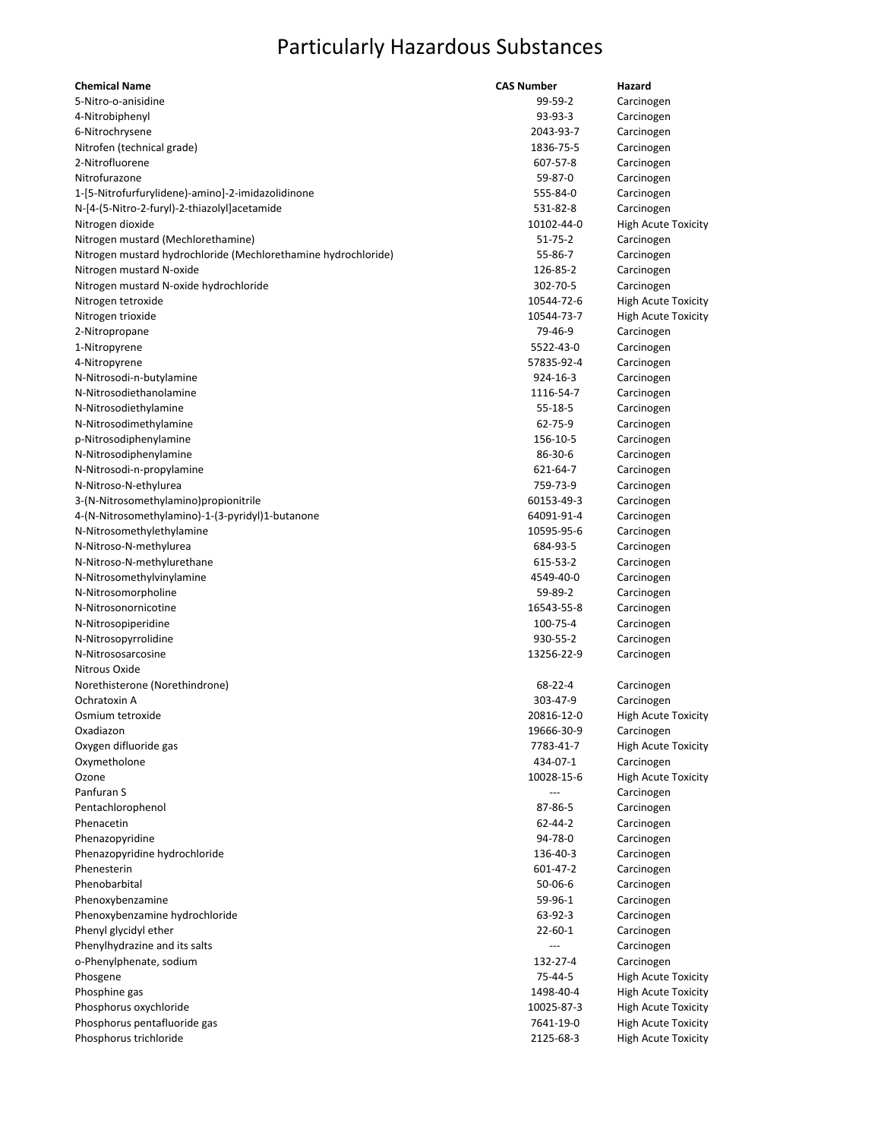| <b>Chemical Name</b>                                           | <b>CAS Number</b> | Hazard                     |
|----------------------------------------------------------------|-------------------|----------------------------|
| 5-Nitro-o-anisidine                                            | 99-59-2           | Carcinogen                 |
| 4-Nitrobiphenyl                                                | 93-93-3           | Carcinogen                 |
| 6-Nitrochrysene                                                | 2043-93-7         | Carcinogen                 |
| Nitrofen (technical grade)                                     | 1836-75-5         | Carcinogen                 |
| 2-Nitrofluorene                                                | 607-57-8          | Carcinogen                 |
| Nitrofurazone                                                  | 59-87-0           | Carcinogen                 |
| 1-[5-Nitrofurfurylidene)-amino]-2-imidazolidinone              | 555-84-0          | Carcinogen                 |
| N-[4-(5-Nitro-2-furyl)-2-thiazolyl]acetamide                   | 531-82-8          | Carcinogen                 |
| Nitrogen dioxide                                               | 10102-44-0        | <b>High Acute Toxicity</b> |
| Nitrogen mustard (Mechlorethamine)                             | $51 - 75 - 2$     | Carcinogen                 |
| Nitrogen mustard hydrochloride (Mechlorethamine hydrochloride) | 55-86-7           | Carcinogen                 |
| Nitrogen mustard N-oxide                                       | 126-85-2          | Carcinogen                 |
| Nitrogen mustard N-oxide hydrochloride                         | 302-70-5          | Carcinogen                 |
| Nitrogen tetroxide                                             | 10544-72-6        | <b>High Acute Toxicity</b> |
| Nitrogen trioxide                                              | 10544-73-7        | <b>High Acute Toxicity</b> |
| 2-Nitropropane                                                 | 79-46-9           | Carcinogen                 |
| 1-Nitropyrene                                                  | 5522-43-0         | Carcinogen                 |
| 4-Nitropyrene                                                  | 57835-92-4        | Carcinogen                 |
| N-Nitrosodi-n-butylamine                                       | 924-16-3          | Carcinogen                 |
| N-Nitrosodiethanolamine                                        | 1116-54-7         | Carcinogen                 |
|                                                                | $55 - 18 - 5$     | Carcinogen                 |
| N-Nitrosodiethylamine                                          | 62-75-9           |                            |
| N-Nitrosodimethylamine                                         |                   | Carcinogen                 |
| p-Nitrosodiphenylamine                                         | 156-10-5          | Carcinogen                 |
| N-Nitrosodiphenylamine                                         | 86-30-6           | Carcinogen                 |
| N-Nitrosodi-n-propylamine                                      | 621-64-7          | Carcinogen                 |
| N-Nitroso-N-ethylurea                                          | 759-73-9          | Carcinogen                 |
| 3-(N-Nitrosomethylamino) propionitrile                         | 60153-49-3        | Carcinogen                 |
| 4-(N-Nitrosomethylamino)-1-(3-pyridyl)1-butanone               | 64091-91-4        | Carcinogen                 |
| N-Nitrosomethylethylamine                                      | 10595-95-6        | Carcinogen                 |
| N-Nitroso-N-methylurea                                         | 684-93-5          | Carcinogen                 |
| N-Nitroso-N-methylurethane                                     | 615-53-2          | Carcinogen                 |
| N-Nitrosomethylvinylamine                                      | 4549-40-0         | Carcinogen                 |
| N-Nitrosomorpholine                                            | 59-89-2           | Carcinogen                 |
| N-Nitrosonornicotine                                           | 16543-55-8        | Carcinogen                 |
| N-Nitrosopiperidine                                            | 100-75-4          | Carcinogen                 |
| N-Nitrosopyrrolidine                                           | 930-55-2          | Carcinogen                 |
| N-Nitrososarcosine                                             | 13256-22-9        | Carcinogen                 |
| Nitrous Oxide                                                  |                   |                            |
| Norethisterone (Norethindrone)                                 | 68-22-4           | Carcinogen                 |
| Ochratoxin A                                                   | 303-47-9          | Carcinogen                 |
| Osmium tetroxide                                               | 20816-12-0        | <b>High Acute Toxicity</b> |
| Oxadiazon                                                      | 19666-30-9        | Carcinogen                 |
| Oxygen difluoride gas                                          | 7783-41-7         | <b>High Acute Toxicity</b> |
| Oxymetholone                                                   | 434-07-1          | Carcinogen                 |
| Ozone                                                          | 10028-15-6        | <b>High Acute Toxicity</b> |
| Panfuran S                                                     |                   | Carcinogen                 |
| Pentachlorophenol                                              | 87-86-5           | Carcinogen                 |
| Phenacetin                                                     | 62-44-2           | Carcinogen                 |
| Phenazopyridine                                                | 94-78-0           | Carcinogen                 |
| Phenazopyridine hydrochloride                                  | 136-40-3          | Carcinogen                 |
| Phenesterin                                                    | 601-47-2          | Carcinogen                 |
| Phenobarbital                                                  | $50 - 06 - 6$     | Carcinogen                 |
| Phenoxybenzamine                                               | 59-96-1           | Carcinogen                 |
| Phenoxybenzamine hydrochloride                                 | 63-92-3           | Carcinogen                 |
| Phenyl glycidyl ether                                          | $22 - 60 - 1$     | Carcinogen                 |
| Phenylhydrazine and its salts                                  |                   | Carcinogen                 |
|                                                                |                   |                            |
| o-Phenylphenate, sodium                                        | 132-27-4          | Carcinogen                 |
| Phosgene                                                       | 75-44-5           | <b>High Acute Toxicity</b> |
| Phosphine gas                                                  | 1498-40-4         | <b>High Acute Toxicity</b> |
| Phosphorus oxychloride                                         | 10025-87-3        | <b>High Acute Toxicity</b> |
| Phosphorus pentafluoride gas                                   | 7641-19-0         | <b>High Acute Toxicity</b> |
| Phosphorus trichloride                                         | 2125-68-3         | <b>High Acute Toxicity</b> |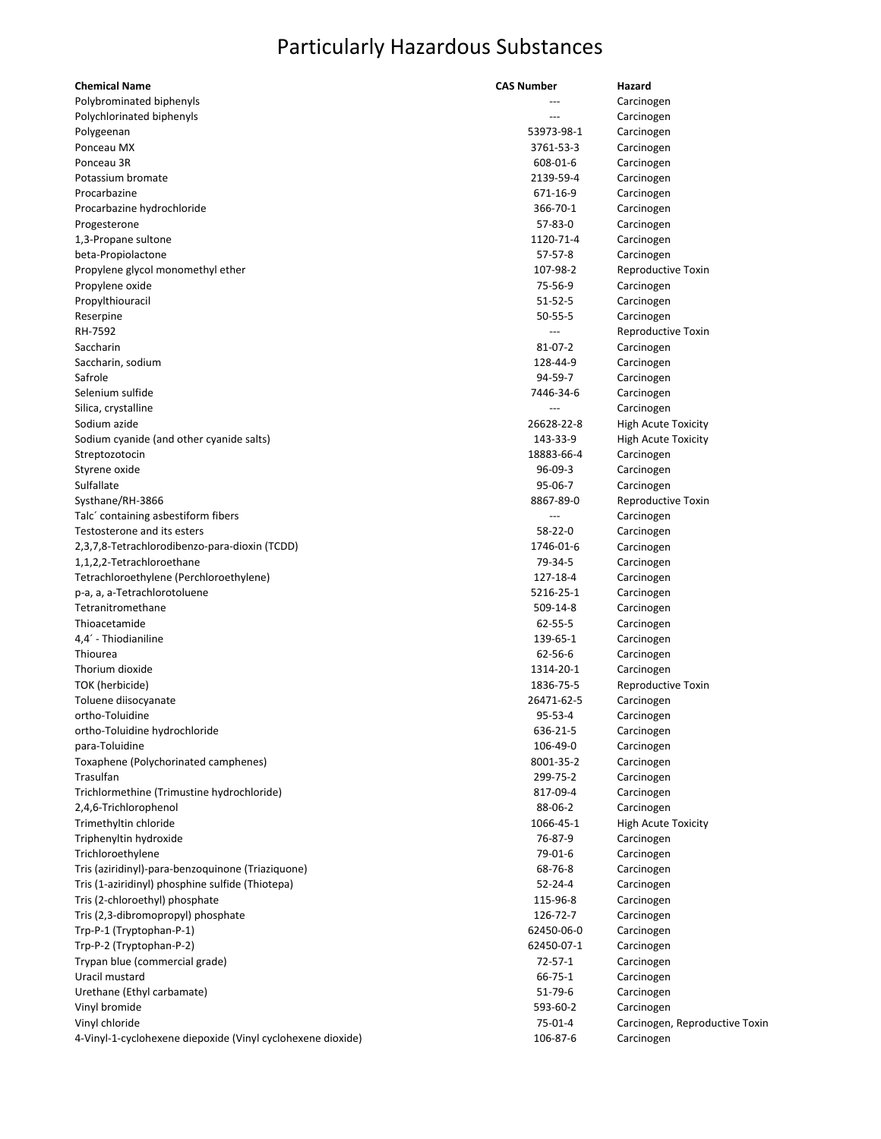| <b>Chemical Name</b>                                        | <b>CAS Number</b> | Hazard                         |
|-------------------------------------------------------------|-------------------|--------------------------------|
| Polybrominated biphenyls                                    |                   | Carcinogen                     |
| Polychlorinated biphenyls                                   |                   | Carcinogen                     |
| Polygeenan                                                  | 53973-98-1        | Carcinogen                     |
| Ponceau MX                                                  | 3761-53-3         | Carcinogen                     |
| Ponceau 3R                                                  | 608-01-6          | Carcinogen                     |
| Potassium bromate                                           | 2139-59-4         | Carcinogen                     |
| Procarbazine                                                | 671-16-9          | Carcinogen                     |
| Procarbazine hydrochloride                                  | 366-70-1          | Carcinogen                     |
| Progesterone                                                | 57-83-0           | Carcinogen                     |
| 1,3-Propane sultone                                         | 1120-71-4         | Carcinogen                     |
| beta-Propiolactone                                          | 57-57-8           | Carcinogen                     |
| Propylene glycol monomethyl ether                           | 107-98-2          | Reproductive Toxin             |
| Propylene oxide                                             | 75-56-9           | Carcinogen                     |
|                                                             | $51 - 52 - 5$     |                                |
| Propylthiouracil                                            |                   | Carcinogen                     |
| Reserpine                                                   | $50 - 55 - 5$     | Carcinogen                     |
| RH-7592                                                     |                   | Reproductive Toxin             |
| Saccharin                                                   | 81-07-2           | Carcinogen                     |
| Saccharin, sodium                                           | 128-44-9          | Carcinogen                     |
| Safrole                                                     | 94-59-7           | Carcinogen                     |
| Selenium sulfide                                            | 7446-34-6         | Carcinogen                     |
| Silica, crystalline                                         |                   | Carcinogen                     |
| Sodium azide                                                | 26628-22-8        | <b>High Acute Toxicity</b>     |
| Sodium cyanide (and other cyanide salts)                    | 143-33-9          | <b>High Acute Toxicity</b>     |
| Streptozotocin                                              | 18883-66-4        | Carcinogen                     |
| Styrene oxide                                               | $96 - 09 - 3$     | Carcinogen                     |
| Sulfallate                                                  | 95-06-7           | Carcinogen                     |
| Systhane/RH-3866                                            | 8867-89-0         | Reproductive Toxin             |
| Talc' containing asbestiform fibers                         | $---$             | Carcinogen                     |
| Testosterone and its esters                                 | 58-22-0           | Carcinogen                     |
| 2,3,7,8-Tetrachlorodibenzo-para-dioxin (TCDD)               | 1746-01-6         | Carcinogen                     |
| 1,1,2,2-Tetrachloroethane                                   | 79-34-5           | Carcinogen                     |
| Tetrachloroethylene (Perchloroethylene)                     | 127-18-4          | Carcinogen                     |
| p-a, a, a-Tetrachlorotoluene                                | 5216-25-1         | Carcinogen                     |
| Tetranitromethane                                           | 509-14-8          | Carcinogen                     |
| Thioacetamide                                               | 62-55-5           | Carcinogen                     |
| 4,4´ - Thiodianiline                                        | 139-65-1          | Carcinogen                     |
| Thiourea                                                    | 62-56-6           | Carcinogen                     |
| Thorium dioxide                                             | 1314-20-1         | Carcinogen                     |
| TOK (herbicide)                                             | 1836-75-5         | Reproductive Toxin             |
| Toluene diisocyanate                                        | 26471-62-5        | Carcinogen                     |
| ortho-Toluidine                                             | 95-53-4           | Carcinogen                     |
| ortho-Toluidine hydrochloride                               | 636-21-5          | Carcinogen                     |
| para-Toluidine                                              | 106-49-0          | Carcinogen                     |
| Toxaphene (Polychorinated camphenes)                        | 8001-35-2         | Carcinogen                     |
| Trasulfan                                                   | 299-75-2          | Carcinogen                     |
| Trichlormethine (Trimustine hydrochloride)                  | 817-09-4          | Carcinogen                     |
| 2,4,6-Trichlorophenol                                       | 88-06-2           |                                |
| Trimethyltin chloride                                       | 1066-45-1         | Carcinogen                     |
| Triphenyltin hydroxide                                      | 76-87-9           | <b>High Acute Toxicity</b>     |
|                                                             | 79-01-6           | Carcinogen                     |
| Trichloroethylene                                           |                   | Carcinogen                     |
| Tris (aziridinyl)-para-benzoquinone (Triaziquone)           | 68-76-8           | Carcinogen                     |
| Tris (1-aziridinyl) phosphine sulfide (Thiotepa)            | $52 - 24 - 4$     | Carcinogen                     |
| Tris (2-chloroethyl) phosphate                              | 115-96-8          | Carcinogen                     |
| Tris (2,3-dibromopropyl) phosphate                          | 126-72-7          | Carcinogen                     |
| Trp-P-1 (Tryptophan-P-1)                                    | 62450-06-0        | Carcinogen                     |
| Trp-P-2 (Tryptophan-P-2)                                    | 62450-07-1        | Carcinogen                     |
| Trypan blue (commercial grade)                              | $72 - 57 - 1$     | Carcinogen                     |
| Uracil mustard                                              | 66-75-1           | Carcinogen                     |
| Urethane (Ethyl carbamate)                                  | 51-79-6           | Carcinogen                     |
| Vinyl bromide                                               | 593-60-2          | Carcinogen                     |
| Vinyl chloride                                              | $75 - 01 - 4$     | Carcinogen, Reproductive Toxin |
| 4-Vinyl-1-cyclohexene diepoxide (Vinyl cyclohexene dioxide) | 106-87-6          | Carcinogen                     |